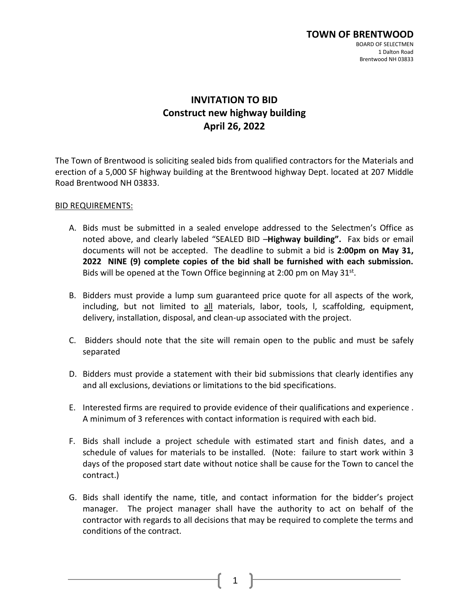# **INVITATION TO BID Construct new highway building April 26, 2022**

The Town of Brentwood is soliciting sealed bids from qualified contractors for the Materials and erection of a 5,000 SF highway building at the Brentwood highway Dept. located at 207 Middle Road Brentwood NH 03833.

#### BID REQUIREMENTS:

- A. Bids must be submitted in a sealed envelope addressed to the Selectmen's Office as noted above, and clearly labeled "SEALED BID –**Highway building".** Fax bids or email documents will not be accepted. The deadline to submit a bid is **2:00pm on May 31, 2022 NINE (9) complete copies of the bid shall be furnished with each submission.**  Bids will be opened at the Town Office beginning at 2:00 pm on May  $31^{st}$ .
- B. Bidders must provide a lump sum guaranteed price quote for all aspects of the work, including, but not limited to all materials, labor, tools, l, scaffolding, equipment, delivery, installation, disposal, and clean-up associated with the project.
- C. Bidders should note that the site will remain open to the public and must be safely separated
- D. Bidders must provide a statement with their bid submissions that clearly identifies any and all exclusions, deviations or limitations to the bid specifications.
- E. Interested firms are required to provide evidence of their qualifications and experience . A minimum of 3 references with contact information is required with each bid.
- F. Bids shall include a project schedule with estimated start and finish dates, and a schedule of values for materials to be installed. (Note: failure to start work within 3 days of the proposed start date without notice shall be cause for the Town to cancel the contract.)
- G. Bids shall identify the name, title, and contact information for the bidder's project manager. The project manager shall have the authority to act on behalf of the contractor with regards to all decisions that may be required to complete the terms and conditions of the contract.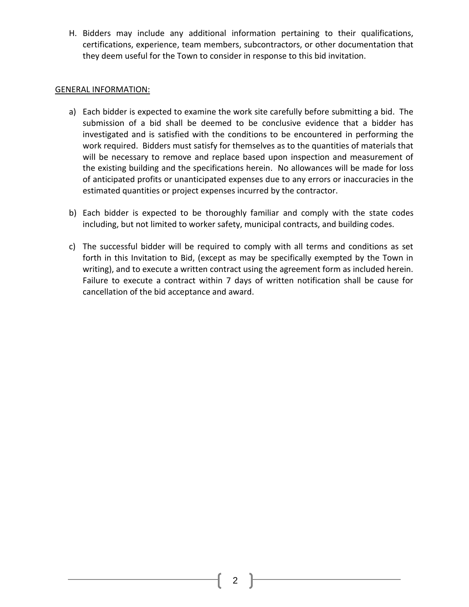H. Bidders may include any additional information pertaining to their qualifications, certifications, experience, team members, subcontractors, or other documentation that they deem useful for the Town to consider in response to this bid invitation.

#### GENERAL INFORMATION:

- a) Each bidder is expected to examine the work site carefully before submitting a bid. The submission of a bid shall be deemed to be conclusive evidence that a bidder has investigated and is satisfied with the conditions to be encountered in performing the work required. Bidders must satisfy for themselves as to the quantities of materials that will be necessary to remove and replace based upon inspection and measurement of the existing building and the specifications herein. No allowances will be made for loss of anticipated profits or unanticipated expenses due to any errors or inaccuracies in the estimated quantities or project expenses incurred by the contractor.
- b) Each bidder is expected to be thoroughly familiar and comply with the state codes including, but not limited to worker safety, municipal contracts, and building codes.
- c) The successful bidder will be required to comply with all terms and conditions as set forth in this Invitation to Bid, (except as may be specifically exempted by the Town in writing), and to execute a written contract using the agreement form as included herein. Failure to execute a contract within 7 days of written notification shall be cause for cancellation of the bid acceptance and award.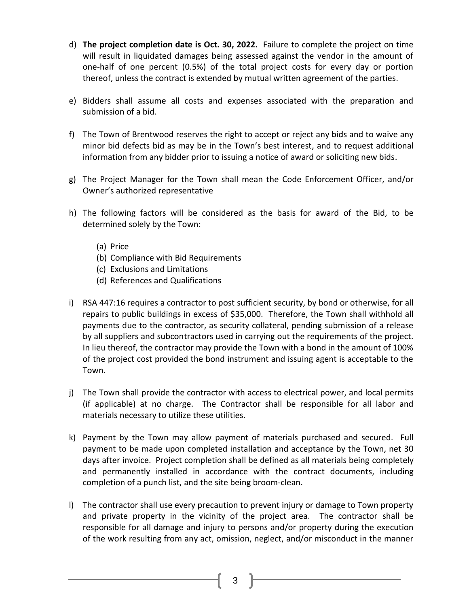- d) **The project completion date is Oct. 30, 2022.** Failure to complete the project on time will result in liquidated damages being assessed against the vendor in the amount of one-half of one percent (0.5%) of the total project costs for every day or portion thereof, unless the contract is extended by mutual written agreement of the parties.
- e) Bidders shall assume all costs and expenses associated with the preparation and submission of a bid.
- f) The Town of Brentwood reserves the right to accept or reject any bids and to waive any minor bid defects bid as may be in the Town's best interest, and to request additional information from any bidder prior to issuing a notice of award or soliciting new bids.
- g) The Project Manager for the Town shall mean the Code Enforcement Officer, and/or Owner's authorized representative
- h) The following factors will be considered as the basis for award of the Bid, to be determined solely by the Town:
	- (a) Price
	- (b) Compliance with Bid Requirements
	- (c) Exclusions and Limitations
	- (d) References and Qualifications
- i) RSA 447:16 requires a contractor to post sufficient security, by bond or otherwise, for all repairs to public buildings in excess of \$35,000. Therefore, the Town shall withhold all payments due to the contractor, as security collateral, pending submission of a release by all suppliers and subcontractors used in carrying out the requirements of the project. In lieu thereof, the contractor may provide the Town with a bond in the amount of 100% of the project cost provided the bond instrument and issuing agent is acceptable to the Town.
- j) The Town shall provide the contractor with access to electrical power, and local permits (if applicable) at no charge. The Contractor shall be responsible for all labor and materials necessary to utilize these utilities.
- k) Payment by the Town may allow payment of materials purchased and secured. Full payment to be made upon completed installation and acceptance by the Town, net 30 days after invoice. Project completion shall be defined as all materials being completely and permanently installed in accordance with the contract documents, including completion of a punch list, and the site being broom-clean.
- l) The contractor shall use every precaution to prevent injury or damage to Town property and private property in the vicinity of the project area. The contractor shall be responsible for all damage and injury to persons and/or property during the execution of the work resulting from any act, omission, neglect, and/or misconduct in the manner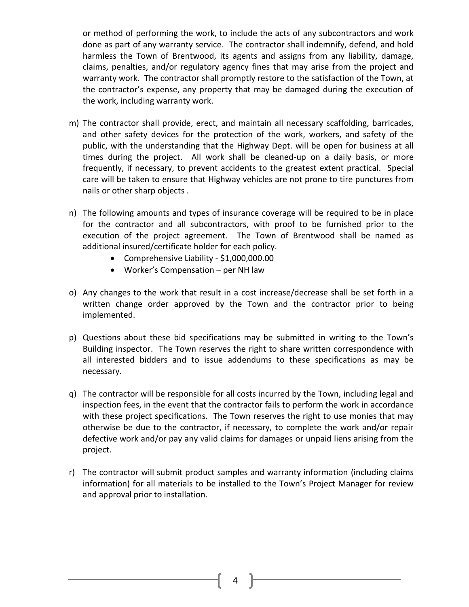or method of performing the work, to include the acts of any subcontractors and work done as part of any warranty service. The contractor shall indemnify, defend, and hold harmless the Town of Brentwood, its agents and assigns from any liability, damage, claims, penalties, and/or regulatory agency fines that may arise from the project and warranty work. The contractor shall promptly restore to the satisfaction of the Town, at the contractor's expense, any property that may be damaged during the execution of the work, including warranty work.

- m) The contractor shall provide, erect, and maintain all necessary scaffolding, barricades, and other safety devices for the protection of the work, workers, and safety of the public, with the understanding that the Highway Dept. will be open for business at all times during the project. All work shall be cleaned-up on a daily basis, or more frequently, if necessary, to prevent accidents to the greatest extent practical. Special care will be taken to ensure that Highway vehicles are not prone to tire punctures from nails or other sharp objects .
- n) The following amounts and types of insurance coverage will be required to be in place for the contractor and all subcontractors, with proof to be furnished prior to the execution of the project agreement. The Town of Brentwood shall be named as additional insured/certificate holder for each policy.
	- Comprehensive Liability \$1,000,000.00
	- Worker's Compensation per NH law
- o) Any changes to the work that result in a cost increase/decrease shall be set forth in a written change order approved by the Town and the contractor prior to being implemented.
- p) Questions about these bid specifications may be submitted in writing to the Town's Building inspector. The Town reserves the right to share written correspondence with all interested bidders and to issue addendums to these specifications as may be necessary.
- q) The contractor will be responsible for all costs incurred by the Town, including legal and inspection fees, in the event that the contractor fails to perform the work in accordance with these project specifications. The Town reserves the right to use monies that may otherwise be due to the contractor, if necessary, to complete the work and/or repair defective work and/or pay any valid claims for damages or unpaid liens arising from the project.
- r) The contractor will submit product samples and warranty information (including claims information) for all materials to be installed to the Town's Project Manager for review and approval prior to installation.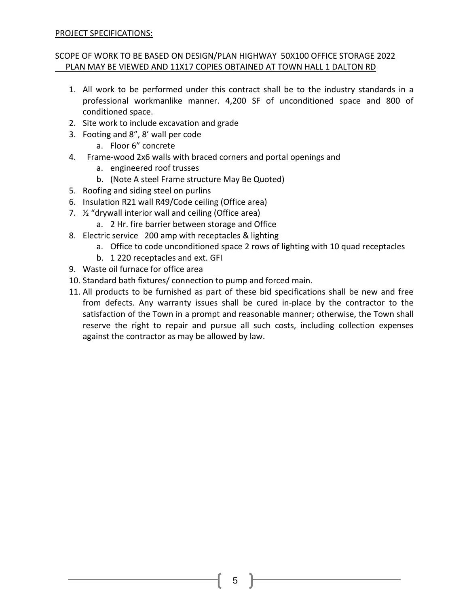## PROJECT SPECIFICATIONS:

## SCOPE OF WORK TO BE BASED ON DESIGN/PLAN HIGHWAY 50X100 OFFICE STORAGE 2022 PLAN MAY BE VIEWED AND 11X17 COPIES OBTAINED AT TOWN HALL 1 DALTON RD

- 1. All work to be performed under this contract shall be to the industry standards in a professional workmanlike manner. 4,200 SF of unconditioned space and 800 of conditioned space.
- 2. Site work to include excavation and grade
- 3. Footing and 8", 8' wall per code
	- a. Floor 6" concrete
- 4. Frame-wood 2x6 walls with braced corners and portal openings and
	- a. engineered roof trusses
	- b. (Note A steel Frame structure May Be Quoted)
- 5. Roofing and siding steel on purlins
- 6. Insulation R21 wall R49/Code ceiling (Office area)
- 7. ½ "drywall interior wall and ceiling (Office area)
	- a. 2 Hr. fire barrier between storage and Office
- 8. Electric service 200 amp with receptacles & lighting
	- a. Office to code unconditioned space 2 rows of lighting with 10 quad receptacles
	- b. 1 220 receptacles and ext. GFI
- 9. Waste oil furnace for office area
- 10. Standard bath fixtures/ connection to pump and forced main.
- 11. All products to be furnished as part of these bid specifications shall be new and free from defects. Any warranty issues shall be cured in-place by the contractor to the satisfaction of the Town in a prompt and reasonable manner; otherwise, the Town shall reserve the right to repair and pursue all such costs, including collection expenses against the contractor as may be allowed by law.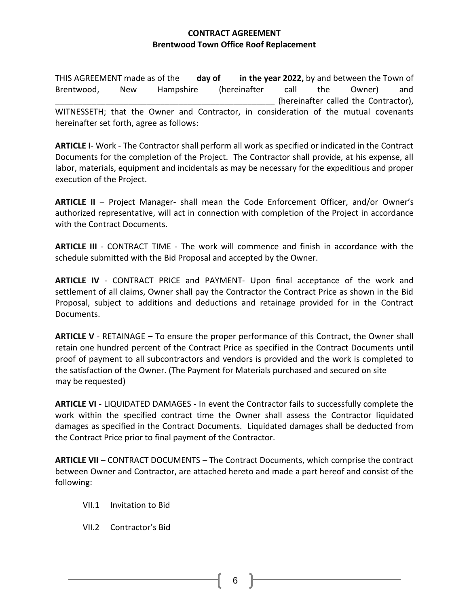# **CONTRACT AGREEMENT Brentwood Town Office Roof Replacement**

THIS AGREEMENT made as of the **day of in the year 2022,** by and between the Town of Brentwood, New Hampshire (hereinafter call the Owner) and (hereinafter called the Contractor), WITNESSETH; that the Owner and Contractor, in consideration of the mutual covenants hereinafter set forth, agree as follows:

**ARTICLE I**- Work - The Contractor shall perform all work as specified or indicated in the Contract Documents for the completion of the Project. The Contractor shall provide, at his expense, all labor, materials, equipment and incidentals as may be necessary for the expeditious and proper execution of the Project.

**ARTICLE II** – Project Manager- shall mean the Code Enforcement Officer, and/or Owner's authorized representative, will act in connection with completion of the Project in accordance with the Contract Documents.

**ARTICLE III** - CONTRACT TIME - The work will commence and finish in accordance with the schedule submitted with the Bid Proposal and accepted by the Owner.

**ARTICLE IV** - CONTRACT PRICE and PAYMENT- Upon final acceptance of the work and settlement of all claims, Owner shall pay the Contractor the Contract Price as shown in the Bid Proposal, subject to additions and deductions and retainage provided for in the Contract Documents.

**ARTICLE V** - RETAINAGE – To ensure the proper performance of this Contract, the Owner shall retain one hundred percent of the Contract Price as specified in the Contract Documents until proof of payment to all subcontractors and vendors is provided and the work is completed to the satisfaction of the Owner. (The Payment for Materials purchased and secured on site may be requested)

**ARTICLE VI** - LIQUIDATED DAMAGES - In event the Contractor fails to successfully complete the work within the specified contract time the Owner shall assess the Contractor liquidated damages as specified in the Contract Documents. Liquidated damages shall be deducted from the Contract Price prior to final payment of the Contractor.

**ARTICLE VII** – CONTRACT DOCUMENTS – The Contract Documents, which comprise the contract between Owner and Contractor, are attached hereto and made a part hereof and consist of the following:

- VII.1 Invitation to Bid
- VII.2 Contractor's Bid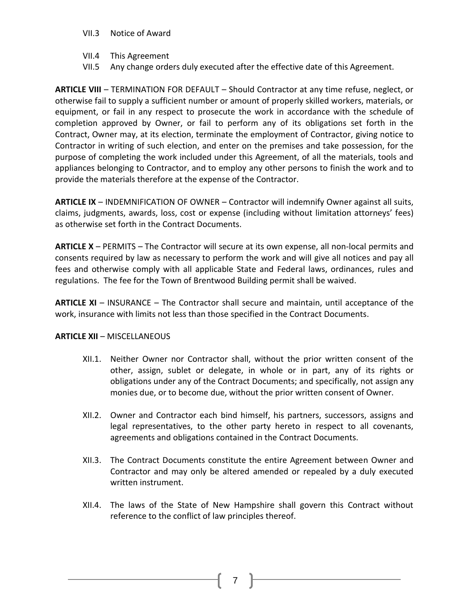- VII.3 Notice of Award
- VII.4 This Agreement
- VII.5 Any change orders duly executed after the effective date of this Agreement.

**ARTICLE VIII** – TERMINATION FOR DEFAULT – Should Contractor at any time refuse, neglect, or otherwise fail to supply a sufficient number or amount of properly skilled workers, materials, or equipment, or fail in any respect to prosecute the work in accordance with the schedule of completion approved by Owner, or fail to perform any of its obligations set forth in the Contract, Owner may, at its election, terminate the employment of Contractor, giving notice to Contractor in writing of such election, and enter on the premises and take possession, for the purpose of completing the work included under this Agreement, of all the materials, tools and appliances belonging to Contractor, and to employ any other persons to finish the work and to provide the materials therefore at the expense of the Contractor.

**ARTICLE IX** – INDEMNIFICATION OF OWNER – Contractor will indemnify Owner against all suits, claims, judgments, awards, loss, cost or expense (including without limitation attorneys' fees) as otherwise set forth in the Contract Documents.

**ARTICLE X** – PERMITS – The Contractor will secure at its own expense, all non-local permits and consents required by law as necessary to perform the work and will give all notices and pay all fees and otherwise comply with all applicable State and Federal laws, ordinances, rules and regulations. The fee for the Town of Brentwood Building permit shall be waived.

**ARTICLE XI** – INSURANCE – The Contractor shall secure and maintain, until acceptance of the work, insurance with limits not less than those specified in the Contract Documents.

#### **ARTICLE XII** – MISCELLANEOUS

- XII.1. Neither Owner nor Contractor shall, without the prior written consent of the other, assign, sublet or delegate, in whole or in part, any of its rights or obligations under any of the Contract Documents; and specifically, not assign any monies due, or to become due, without the prior written consent of Owner.
- XII.2. Owner and Contractor each bind himself, his partners, successors, assigns and legal representatives, to the other party hereto in respect to all covenants, agreements and obligations contained in the Contract Documents.
- XII.3. The Contract Documents constitute the entire Agreement between Owner and Contractor and may only be altered amended or repealed by a duly executed written instrument.
- XII.4. The laws of the State of New Hampshire shall govern this Contract without reference to the conflict of law principles thereof.